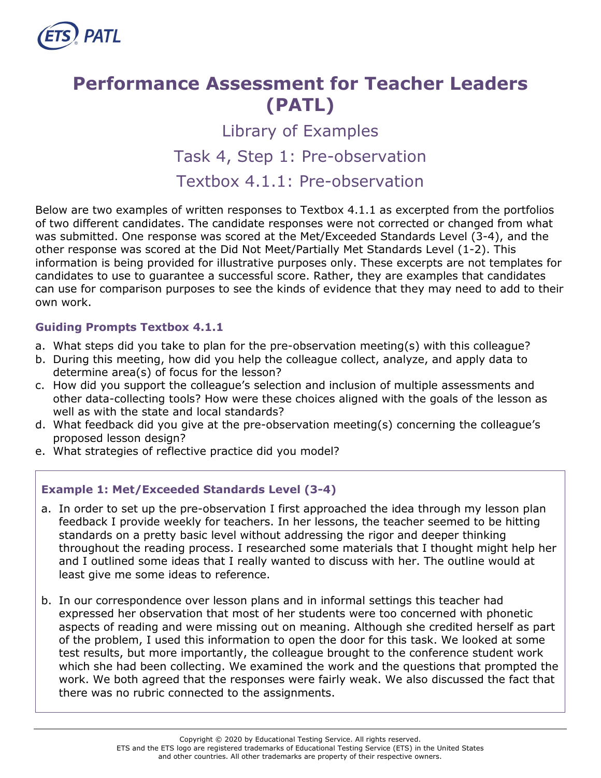

## **Performance Assessment for Teacher Leaders (PATL)**

# Library of Examples Task 4, Step 1: Pre-observation

### Textbox 4.1.1: Pre-observation

Below are two examples of written responses to Textbox 4.1.1 as excerpted from the portfolios of two different candidates. The candidate responses were not corrected or changed from what was submitted. One response was scored at the Met/Exceeded Standards Level (3-4), and the other response was scored at the Did Not Meet/Partially Met Standards Level (1-2). This information is being provided for illustrative purposes only. These excerpts are not templates for candidates to use to guarantee a successful score. Rather, they are examples that candidates can use for comparison purposes to see the kinds of evidence that they may need to add to their own work.

#### **Guiding Prompts Textbox 4.1.1**

- a. What steps did you take to plan for the pre-observation meeting(s) with this colleague?
- b. During this meeting, how did you help the colleague collect, analyze, and apply data to determine area(s) of focus for the lesson?
- c. How did you support the colleague's selection and inclusion of multiple assessments and other data-collecting tools? How were these choices aligned with the goals of the lesson as well as with the state and local standards?
- d. What feedback did you give at the pre-observation meeting(s) concerning the colleague's proposed lesson design?
- e. What strategies of reflective practice did you model?

#### **Example 1: Met/Exceeded Standards Level (3-4)**

- a. In order to set up the pre-observation I first approached the idea through my lesson plan feedback I provide weekly for teachers. In her lessons, the teacher seemed to be hitting standards on a pretty basic level without addressing the rigor and deeper thinking throughout the reading process. I researched some materials that I thought might help her and I outlined some ideas that I really wanted to discuss with her. The outline would at least give me some ideas to reference.
- b. In our correspondence over lesson plans and in informal settings this teacher had expressed her observation that most of her students were too concerned with phonetic aspects of reading and were missing out on meaning. Although she credited herself as part of the problem, I used this information to open the door for this task. We looked at some test results, but more importantly, the colleague brought to the conference student work which she had been collecting. We examined the work and the questions that prompted the work. We both agreed that the responses were fairly weak. We also discussed the fact that there was no rubric connected to the assignments.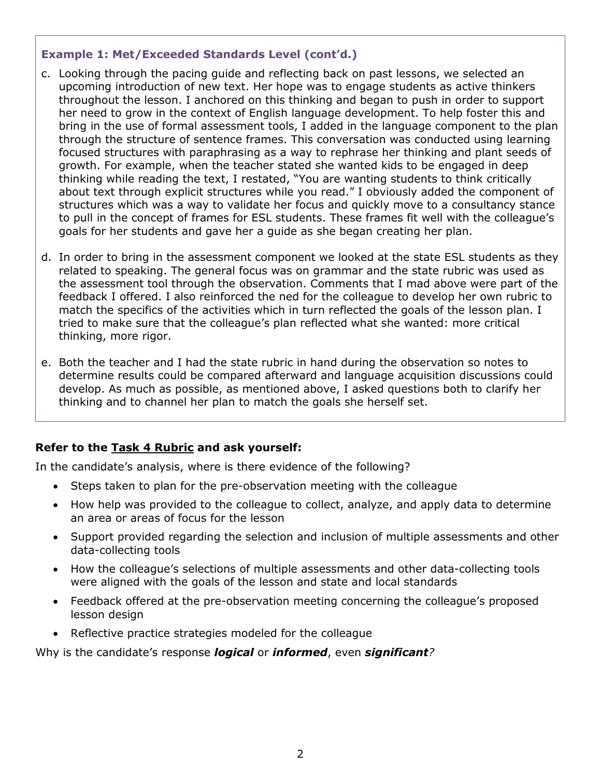#### **Example 1: Met/Exceeded Standards Level (cont'd.)**

- c. Looking through the pacing guide and reflecting back on past lessons, we selected an upcoming introduction of new text. Her hope was to engage students as active thinkers throughout the lesson. I anchored on this thinking and began to push in order to support her need to grow in the context of English language development. To help foster this and bring in the use of formal assessment tools, I added in the language component to the plan through the structure of sentence frames. This conversation was conducted using learning focused structures with paraphrasing as a way to rephrase her thinking and plant seeds of growth. For example, when the teacher stated she wanted kids to be engaged in deep thinking while reading the text, I restated, "You are wanting students to think critically about text through explicit structures while you read." I obviously added the component of structures which was a way to validate her focus and quickly move to a consultancy stance to pull in the concept of frames for ESL students. These frames fit well with the colleague's goals for her students and gave her a guide as she began creating her plan.
- d. In order to bring in the assessment component we looked at the state ESL students as they related to speaking. The general focus was on grammar and the state rubric was used as the assessment tool through the observation. Comments that I mad above were part of the feedback I offered. I also reinforced the ned for the colleague to develop her own rubric to match the specifics of the activities which in turn reflected the goals of the lesson plan. I tried to make sure that the colleague's plan reflected what she wanted: more critical thinking, more rigor.
- e. Both the teacher and I had the state rubric in hand during the observation so notes to determine results could be compared afterward and language acquisition discussions could develop. As much as possible, as mentioned above, I asked questions both to clarify her thinking and to channel her plan to match the goals she herself set.

#### **Refer to the [Task 4](http://gace.ets.org/s/pdf/gace_teacher_leadership_assessment_task_4_rubric.pdf) Rubric and ask yourself:**

In the candidate's analysis, where is there evidence of the following?

- Steps taken to plan for the pre-observation meeting with the colleague
- How help was provided to the colleague to collect, analyze, and apply data to determine an area or areas of focus for the lesson
- Support provided regarding the selection and inclusion of multiple assessments and other data-collecting tools
- How the colleague's selections of multiple assessments and other data-collecting tools were aligned with the goals of the lesson and state and local standards
- Feedback offered at the pre-observation meeting concerning the colleague's proposed lesson design
- Reflective practice strategies modeled for the colleague

#### Why is the candidate's response *logical* or *informed*, even *significant?*